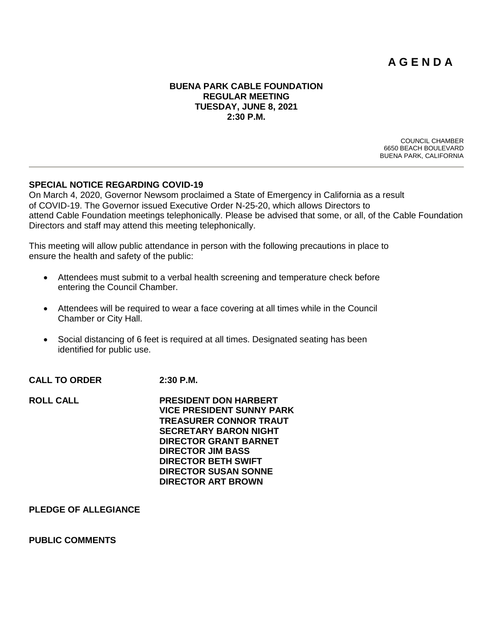# **A G E N D A**

#### **BUENA PARK CABLE FOUNDATION REGULAR MEETING TUESDAY, JUNE 8, 2021 2:30 P.M.**

COUNCIL CHAMBER 6650 BEACH BOULEVARD BUENA PARK, CALIFORNIA

#### **SPECIAL NOTICE REGARDING COVID-19**

On March 4, 2020, Governor Newsom proclaimed a State of Emergency in California as a result of COVID-19. The Governor issued Executive Order N-25-20, which allows Directors to attend Cable Foundation meetings telephonically. Please be advised that some, or all, of the Cable Foundation Directors and staff may attend this meeting telephonically.

This meeting will allow public attendance in person with the following precautions in place to ensure the health and safety of the public:

- Attendees must submit to a verbal health screening and temperature check before entering the Council Chamber.
- Attendees will be required to wear a face covering at all times while in the Council Chamber or City Hall.
- Social distancing of 6 feet is required at all times. Designated seating has been identified for public use.
- **CALL TO ORDER 2:30 P.M.**

| <b>ROLL CALL</b> | <b>PRESIDENT DON HARBERT</b>     |
|------------------|----------------------------------|
|                  | <b>VICE PRESIDENT SUNNY PARK</b> |
|                  | <b>TREASURER CONNOR TRAUT</b>    |
|                  | <b>SECRETARY BARON NIGHT</b>     |
|                  | <b>DIRECTOR GRANT BARNET</b>     |
|                  | <b>DIRECTOR JIM BASS</b>         |
|                  | <b>DIRECTOR BETH SWIFT</b>       |
|                  | <b>DIRECTOR SUSAN SONNE</b>      |
|                  | <b>DIRECTOR ART BROWN</b>        |
|                  |                                  |

#### **PLEDGE OF ALLEGIANCE**

#### **PUBLIC COMMENTS**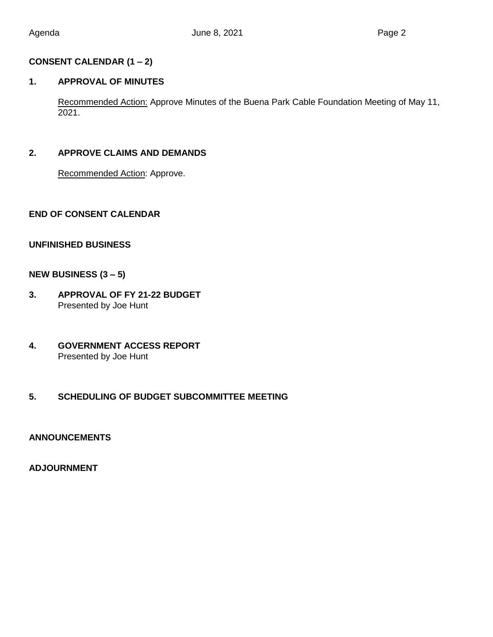# **CONSENT CALENDAR (1 – 2)**

# **1. APPROVAL OF MINUTES**

Recommended Action: Approve Minutes of the Buena Park Cable Foundation Meeting of May 11, 2021.

# **2. APPROVE CLAIMS AND DEMANDS**

Recommended Action: Approve.

# **END OF CONSENT CALENDAR**

## **UNFINISHED BUSINESS**

## **NEW BUSINESS (3 – 5)**

- **3. APPROVAL OF FY 21-22 BUDGET** Presented by Joe Hunt
- **4. GOVERNMENT ACCESS REPORT**  Presented by Joe Hunt

# **5. SCHEDULING OF BUDGET SUBCOMMITTEE MEETING**

### **ANNOUNCEMENTS**

#### **ADJOURNMENT**